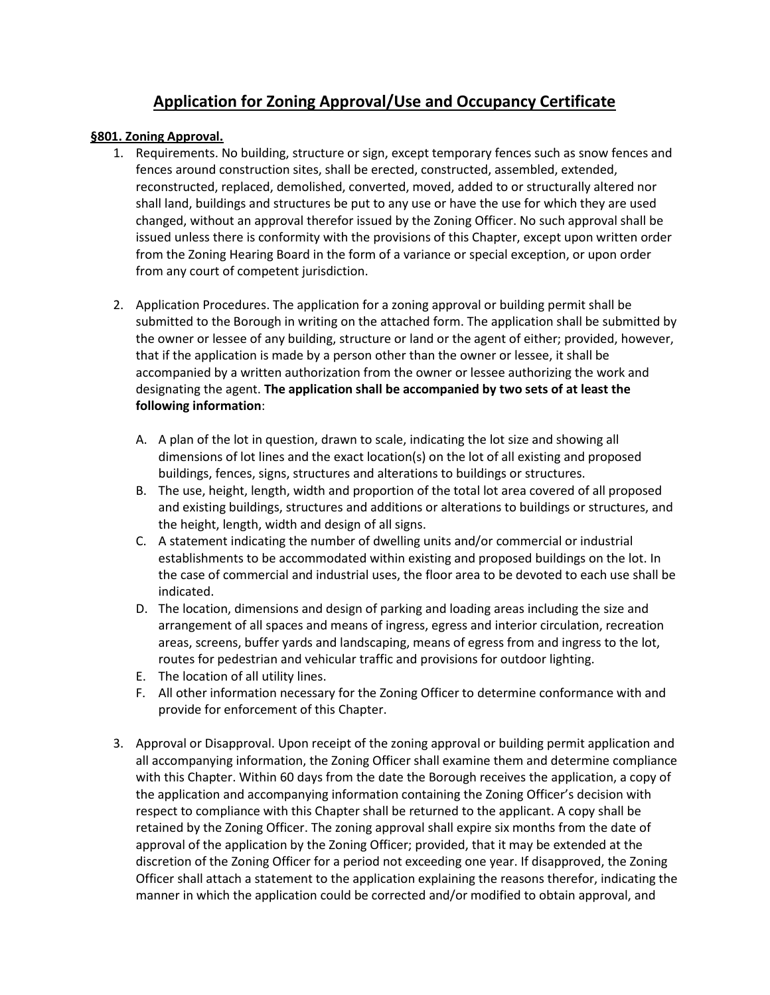## **Application for Zoning Approval/Use and Occupancy Certificate**

## **§801. Zoning Approval.**

- 1. Requirements. No building, structure or sign, except temporary fences such as snow fences and fences around construction sites, shall be erected, constructed, assembled, extended, reconstructed, replaced, demolished, converted, moved, added to or structurally altered nor shall land, buildings and structures be put to any use or have the use for which they are used changed, without an approval therefor issued by the Zoning Officer. No such approval shall be issued unless there is conformity with the provisions of this Chapter, except upon written order from the Zoning Hearing Board in the form of a variance or special exception, or upon order from any court of competent jurisdiction.
- 2. Application Procedures. The application for a zoning approval or building permit shall be submitted to the Borough in writing on the attached form. The application shall be submitted by the owner or lessee of any building, structure or land or the agent of either; provided, however, that if the application is made by a person other than the owner or lessee, it shall be accompanied by a written authorization from the owner or lessee authorizing the work and designating the agent. **The application shall be accompanied by two sets of at least the following information**:
	- A. A plan of the lot in question, drawn to scale, indicating the lot size and showing all dimensions of lot lines and the exact location(s) on the lot of all existing and proposed buildings, fences, signs, structures and alterations to buildings or structures.
	- B. The use, height, length, width and proportion of the total lot area covered of all proposed and existing buildings, structures and additions or alterations to buildings or structures, and the height, length, width and design of all signs.
	- C. A statement indicating the number of dwelling units and/or commercial or industrial establishments to be accommodated within existing and proposed buildings on the lot. In the case of commercial and industrial uses, the floor area to be devoted to each use shall be indicated.
	- D. The location, dimensions and design of parking and loading areas including the size and arrangement of all spaces and means of ingress, egress and interior circulation, recreation areas, screens, buffer yards and landscaping, means of egress from and ingress to the lot, routes for pedestrian and vehicular traffic and provisions for outdoor lighting.
	- E. The location of all utility lines.
	- F. All other information necessary for the Zoning Officer to determine conformance with and provide for enforcement of this Chapter.
- 3. Approval or Disapproval. Upon receipt of the zoning approval or building permit application and all accompanying information, the Zoning Officer shall examine them and determine compliance with this Chapter. Within 60 days from the date the Borough receives the application, a copy of the application and accompanying information containing the Zoning Officer's decision with respect to compliance with this Chapter shall be returned to the applicant. A copy shall be retained by the Zoning Officer. The zoning approval shall expire six months from the date of approval of the application by the Zoning Officer; provided, that it may be extended at the discretion of the Zoning Officer for a period not exceeding one year. If disapproved, the Zoning Officer shall attach a statement to the application explaining the reasons therefor, indicating the manner in which the application could be corrected and/or modified to obtain approval, and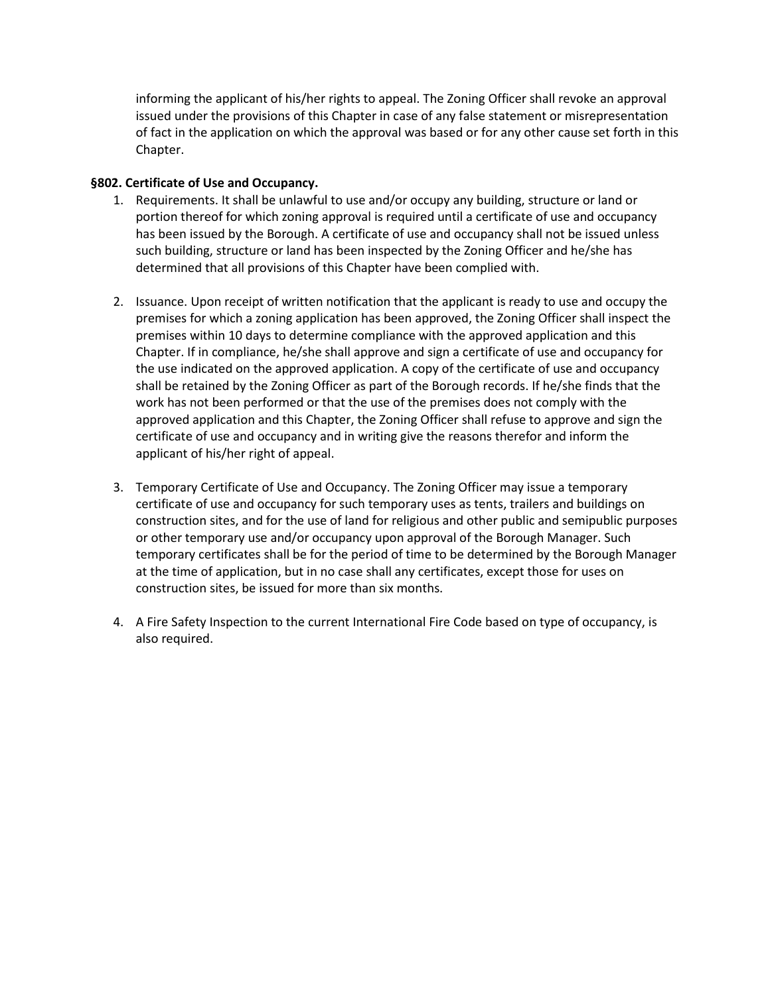informing the applicant of his/her rights to appeal. The Zoning Officer shall revoke an approval issued under the provisions of this Chapter in case of any false statement or misrepresentation of fact in the application on which the approval was based or for any other cause set forth in this Chapter.

## **§802. Certificate of Use and Occupancy.**

- 1. Requirements. It shall be unlawful to use and/or occupy any building, structure or land or portion thereof for which zoning approval is required until a certificate of use and occupancy has been issued by the Borough. A certificate of use and occupancy shall not be issued unless such building, structure or land has been inspected by the Zoning Officer and he/she has determined that all provisions of this Chapter have been complied with.
- 2. Issuance. Upon receipt of written notification that the applicant is ready to use and occupy the premises for which a zoning application has been approved, the Zoning Officer shall inspect the premises within 10 days to determine compliance with the approved application and this Chapter. If in compliance, he/she shall approve and sign a certificate of use and occupancy for the use indicated on the approved application. A copy of the certificate of use and occupancy shall be retained by the Zoning Officer as part of the Borough records. If he/she finds that the work has not been performed or that the use of the premises does not comply with the approved application and this Chapter, the Zoning Officer shall refuse to approve and sign the certificate of use and occupancy and in writing give the reasons therefor and inform the applicant of his/her right of appeal.
- 3. Temporary Certificate of Use and Occupancy. The Zoning Officer may issue a temporary certificate of use and occupancy for such temporary uses as tents, trailers and buildings on construction sites, and for the use of land for religious and other public and semipublic purposes or other temporary use and/or occupancy upon approval of the Borough Manager. Such temporary certificates shall be for the period of time to be determined by the Borough Manager at the time of application, but in no case shall any certificates, except those for uses on construction sites, be issued for more than six months.
- 4. A Fire Safety Inspection to the current International Fire Code based on type of occupancy, is also required.